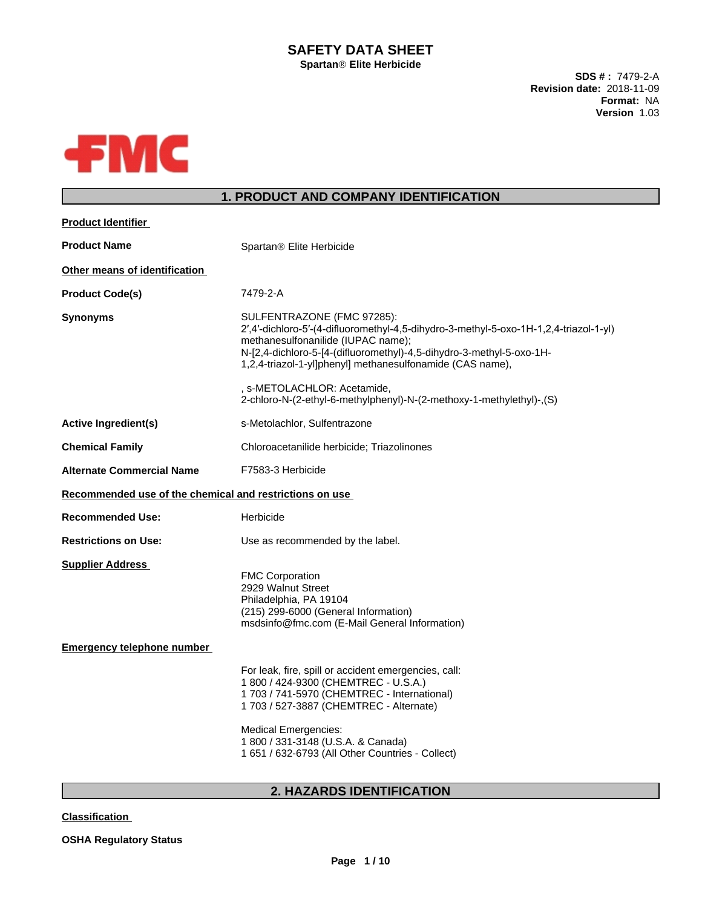# **SAFETY DATA SHEET**

**SpartanÒElite Herbicide**

**SDS # :** 7479-2-A **Revision date:** 2018-11-09 **Format:** NA **Version** 1.03



# **1. PRODUCT AND COMPANY IDENTIFICATION**

| <b>Product Identifier</b>                               |                                                                                                                                                                                                                                                                                                                |
|---------------------------------------------------------|----------------------------------------------------------------------------------------------------------------------------------------------------------------------------------------------------------------------------------------------------------------------------------------------------------------|
| <b>Product Name</b>                                     | Spartan® Elite Herbicide                                                                                                                                                                                                                                                                                       |
| Other means of identification                           |                                                                                                                                                                                                                                                                                                                |
| <b>Product Code(s)</b>                                  | 7479-2-A                                                                                                                                                                                                                                                                                                       |
| <b>Synonyms</b>                                         | SULFENTRAZONE (FMC 97285):<br>2',4'-dichloro-5'-(4-difluoromethyl-4,5-dihydro-3-methyl-5-oxo-1H-1,2,4-triazol-1-yl)<br>methanesulfonanilide (IUPAC name);<br>N-[2,4-dichloro-5-[4-(difluoromethyl)-4,5-dihydro-3-methyl-5-oxo-1H-<br>1,2,4-triazol-1-yl]phenyl] methanesulfonamide (CAS name),                 |
|                                                         | , s-METOLACHLOR: Acetamide,<br>2-chloro-N-(2-ethyl-6-methylphenyl)-N-(2-methoxy-1-methylethyl)-,(S)                                                                                                                                                                                                            |
| <b>Active Ingredient(s)</b>                             | s-Metolachlor, Sulfentrazone                                                                                                                                                                                                                                                                                   |
| <b>Chemical Family</b>                                  | Chloroacetanilide herbicide; Triazolinones                                                                                                                                                                                                                                                                     |
| <b>Alternate Commercial Name</b>                        | F7583-3 Herbicide                                                                                                                                                                                                                                                                                              |
| Recommended use of the chemical and restrictions on use |                                                                                                                                                                                                                                                                                                                |
| <b>Recommended Use:</b>                                 | Herbicide                                                                                                                                                                                                                                                                                                      |
| <b>Restrictions on Use:</b>                             | Use as recommended by the label.                                                                                                                                                                                                                                                                               |
| <b>Supplier Address</b>                                 | <b>FMC Corporation</b><br>2929 Walnut Street<br>Philadelphia, PA 19104<br>(215) 299-6000 (General Information)<br>msdsinfo@fmc.com (E-Mail General Information)                                                                                                                                                |
| <b>Emergency telephone number</b>                       |                                                                                                                                                                                                                                                                                                                |
|                                                         | For leak, fire, spill or accident emergencies, call:<br>1 800 / 424-9300 (CHEMTREC - U.S.A.)<br>1 703 / 741-5970 (CHEMTREC - International)<br>1703 / 527-3887 (CHEMTREC - Alternate)<br><b>Medical Emergencies:</b><br>1 800 / 331-3148 (U.S.A. & Canada)<br>1 651 / 632-6793 (All Other Countries - Collect) |
|                                                         |                                                                                                                                                                                                                                                                                                                |

# **2. HAZARDS IDENTIFICATION**

**Classification**

**OSHA Regulatory Status**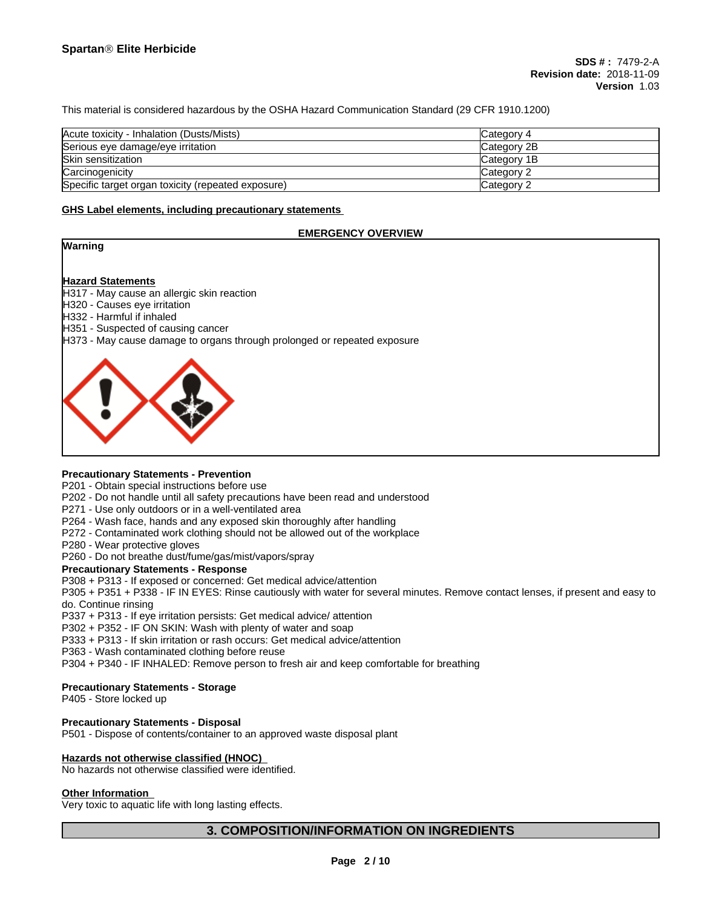This material is considered hazardous by the OSHA Hazard Communication Standard (29 CFR 1910.1200)

| Acute toxicity - Inhalation (Dusts/Mists)          | Category 4         |
|----------------------------------------------------|--------------------|
| Serious eye damage/eye irritation                  | Category 2B        |
| Skin sensitization                                 | <b>Category 1B</b> |
| Carcinogenicity                                    | Category 2         |
| Specific target organ toxicity (repeated exposure) | Category 2         |

#### **GHS Label elements, including precautionary statements**

### **EMERGENCY OVERVIEW**



#### **Hazard Statements**

H317 - May cause an allergic skin reaction

- H320 Causes eye irritation
- H332 Harmful if inhaled
- H351 Suspected of causing cancer
- H373 May cause damage to organs through prolonged or repeated exposure



### **Precautionary Statements - Prevention**

P201 - Obtain special instructions before use

- P202 Do not handle until all safety precautions have been read and understood
- P271 Use only outdoors or in a well-ventilated area
- P264 Wash face, hands and any exposed skin thoroughly after handling
- P272 Contaminated work clothing should not be allowed out of the workplace
- P280 Wear protective gloves

P260 - Do not breathe dust/fume/gas/mist/vapors/spray

#### **Precautionary Statements - Response**

P308 + P313 - If exposed or concerned: Get medical advice/attention

P305 + P351 + P338 - IF IN EYES: Rinse cautiously with water forseveral minutes. Remove contact lenses, if present and easy to do. Continue rinsing

P337 + P313 - If eye irritation persists: Get medical advice/ attention

P302 + P352 - IF ON SKIN: Wash with plenty of water and soap

P333 + P313 - If skin irritation or rash occurs: Get medical advice/attention

P363 - Wash contaminated clothing before reuse

P304 + P340 - IF INHALED: Remove person to fresh air and keep comfortable for breathing

#### **Precautionary Statements - Storage**

P405 - Store locked up

#### **Precautionary Statements - Disposal**

P501 - Dispose of contents/container to an approved waste disposal plant

## **Hazards not otherwise classified (HNOC)**

No hazards not otherwise classified were identified.

#### **Other Information**

Very toxic to aquatic life with long lasting effects.

## **3. COMPOSITION/INFORMATION ON INGREDIENTS**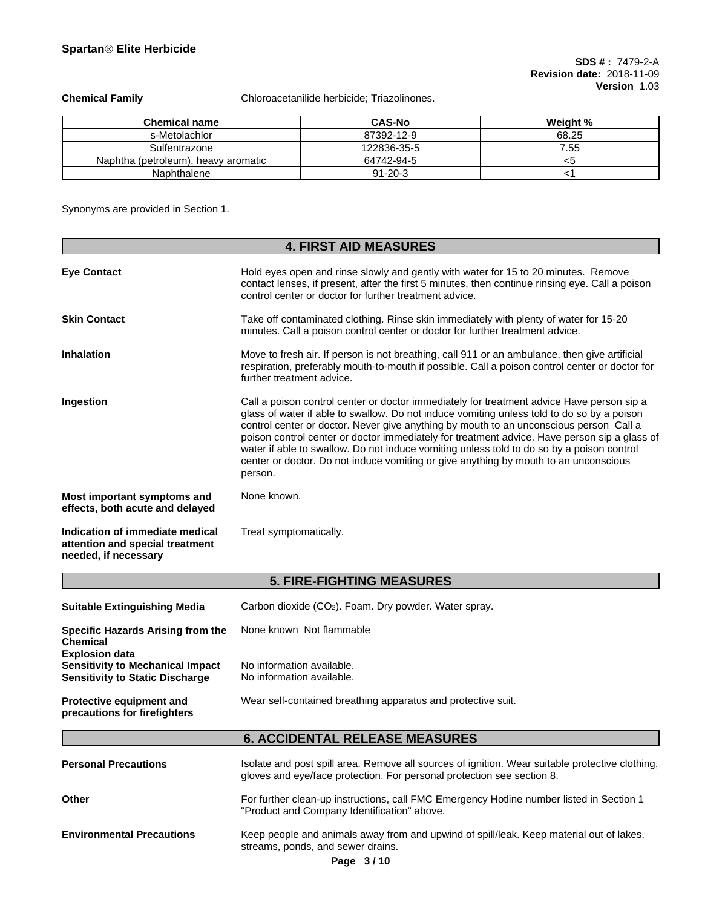**Chemical Family** Chloroacetanilide herbicide; Triazolinones.

| <b>Chemical name</b>                | <b>CAS-No</b> | Weiaht % |
|-------------------------------------|---------------|----------|
| s-Metolachlor                       | 87392-12-9    | 68.25    |
| Sulfentrazone                       | 122836-35-5   | 7.55     |
| Naphtha (petroleum), heavy aromatic | 64742-94-5    | <ວ       |
| Naphthalene                         | $91 - 20 - 3$ |          |

Synonyms are provided in Section 1.

|                                                                                                            | <b>4. FIRST AID MEASURES</b>                                                                                                                                                                                                                                                                                                                                                                                                                                                                                                                                                      |  |  |  |
|------------------------------------------------------------------------------------------------------------|-----------------------------------------------------------------------------------------------------------------------------------------------------------------------------------------------------------------------------------------------------------------------------------------------------------------------------------------------------------------------------------------------------------------------------------------------------------------------------------------------------------------------------------------------------------------------------------|--|--|--|
|                                                                                                            |                                                                                                                                                                                                                                                                                                                                                                                                                                                                                                                                                                                   |  |  |  |
| <b>Eye Contact</b>                                                                                         | Hold eyes open and rinse slowly and gently with water for 15 to 20 minutes. Remove<br>contact lenses, if present, after the first 5 minutes, then continue rinsing eye. Call a poison<br>control center or doctor for further treatment advice.                                                                                                                                                                                                                                                                                                                                   |  |  |  |
| <b>Skin Contact</b>                                                                                        | Take off contaminated clothing. Rinse skin immediately with plenty of water for 15-20<br>minutes. Call a poison control center or doctor for further treatment advice.                                                                                                                                                                                                                                                                                                                                                                                                            |  |  |  |
| <b>Inhalation</b>                                                                                          | Move to fresh air. If person is not breathing, call 911 or an ambulance, then give artificial<br>respiration, preferably mouth-to-mouth if possible. Call a poison control center or doctor for<br>further treatment advice.                                                                                                                                                                                                                                                                                                                                                      |  |  |  |
| Ingestion                                                                                                  | Call a poison control center or doctor immediately for treatment advice Have person sip a<br>glass of water if able to swallow. Do not induce vomiting unless told to do so by a poison<br>control center or doctor. Never give anything by mouth to an unconscious person Call a<br>poison control center or doctor immediately for treatment advice. Have person sip a glass of<br>water if able to swallow. Do not induce vomiting unless told to do so by a poison control<br>center or doctor. Do not induce vomiting or give anything by mouth to an unconscious<br>person. |  |  |  |
| Most important symptoms and<br>effects, both acute and delayed                                             | None known.                                                                                                                                                                                                                                                                                                                                                                                                                                                                                                                                                                       |  |  |  |
| Indication of immediate medical<br>attention and special treatment<br>needed, if necessary                 | Treat symptomatically.                                                                                                                                                                                                                                                                                                                                                                                                                                                                                                                                                            |  |  |  |
|                                                                                                            | <b>5. FIRE-FIGHTING MEASURES</b>                                                                                                                                                                                                                                                                                                                                                                                                                                                                                                                                                  |  |  |  |
| <b>Suitable Extinguishing Media</b>                                                                        | Carbon dioxide (CO <sub>2</sub> ). Foam. Dry powder. Water spray.                                                                                                                                                                                                                                                                                                                                                                                                                                                                                                                 |  |  |  |
| <b>Specific Hazards Arising from the</b><br><b>Chemical</b>                                                | None known Not flammable                                                                                                                                                                                                                                                                                                                                                                                                                                                                                                                                                          |  |  |  |
| <b>Explosion data</b><br><b>Sensitivity to Mechanical Impact</b><br><b>Sensitivity to Static Discharge</b> | No information available.<br>No information available.                                                                                                                                                                                                                                                                                                                                                                                                                                                                                                                            |  |  |  |
| Protective equipment and<br>precautions for firefighters                                                   | Wear self-contained breathing apparatus and protective suit.                                                                                                                                                                                                                                                                                                                                                                                                                                                                                                                      |  |  |  |
|                                                                                                            | <b>6. ACCIDENTAL RELEASE MEASURES</b>                                                                                                                                                                                                                                                                                                                                                                                                                                                                                                                                             |  |  |  |
| <b>Personal Precautions</b>                                                                                | Isolate and post spill area. Remove all sources of ignition. Wear suitable protective clothing,<br>gloves and eye/face protection. For personal protection see section 8.                                                                                                                                                                                                                                                                                                                                                                                                         |  |  |  |
| Other                                                                                                      | For further clean-up instructions, call FMC Emergency Hotline number listed in Section 1<br>"Product and Company Identification" above.                                                                                                                                                                                                                                                                                                                                                                                                                                           |  |  |  |
| <b>Environmental Precautions</b>                                                                           | Keep people and animals away from and upwind of spill/leak. Keep material out of lakes,<br>streams, ponds, and sewer drains.<br>Page 3/10                                                                                                                                                                                                                                                                                                                                                                                                                                         |  |  |  |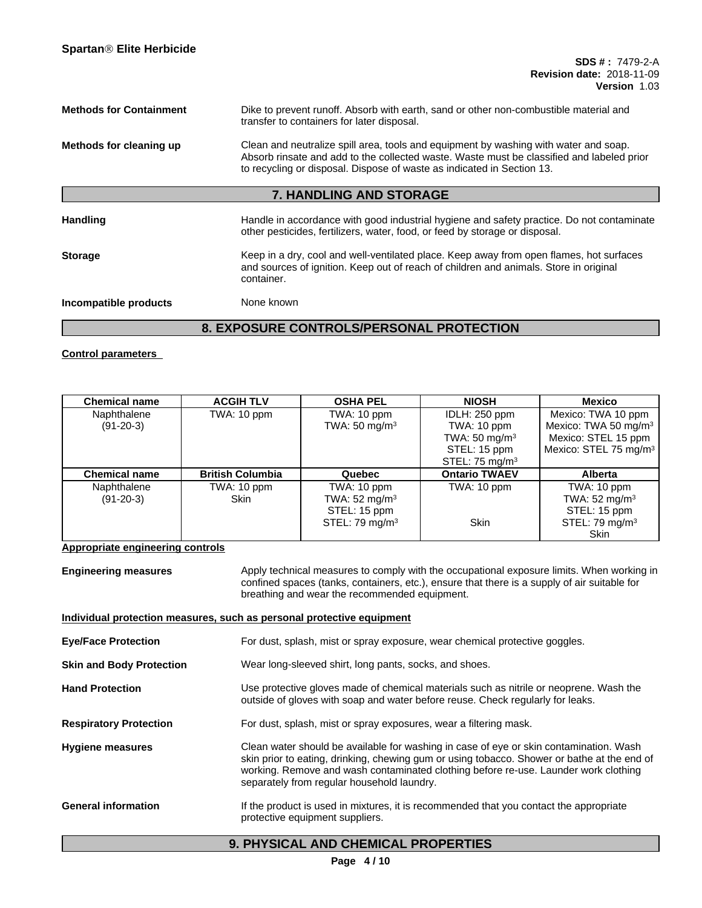| <b>Methods for Containment</b><br>Dike to prevent runoff. Absorb with earth, sand or other non-combustible material and<br>transfer to containers for later disposal. |                                                                                                                                                                                                                                                             |
|-----------------------------------------------------------------------------------------------------------------------------------------------------------------------|-------------------------------------------------------------------------------------------------------------------------------------------------------------------------------------------------------------------------------------------------------------|
| Methods for cleaning up                                                                                                                                               | Clean and neutralize spill area, tools and equipment by washing with water and soap.<br>Absorb rinsate and add to the collected waste. Waste must be classified and labeled prior<br>to recycling or disposal. Dispose of waste as indicated in Section 13. |
|                                                                                                                                                                       | <b>7. HANDLING AND STORAGE</b>                                                                                                                                                                                                                              |
| <b>Handling</b>                                                                                                                                                       | Handle in accordance with good industrial hygiene and safety practice. Do not contaminate<br>other pesticides, fertilizers, water, food, or feed by storage or disposal.                                                                                    |
| <b>Storage</b>                                                                                                                                                        | Keep in a dry, cool and well-ventilated place. Keep away from open flames, hot surfaces<br>and sources of ignition. Keep out of reach of children and animals. Store in original<br>container.                                                              |
| Incompatible products                                                                                                                                                 | None known                                                                                                                                                                                                                                                  |

# **8. EXPOSURE CONTROLS/PERSONAL PROTECTION**

**Control parameters**

| <b>Chemical name</b> | <b>ACGIH TLV</b>        | <b>OSHA PEL</b>          | <b>NIOSH</b>              | Mexico                            |
|----------------------|-------------------------|--------------------------|---------------------------|-----------------------------------|
| Naphthalene          | TWA: 10 ppm             | TWA: 10 ppm              | IDLH: 250 ppm             | Mexico: TWA 10 ppm                |
| $(91-20-3)$          |                         | TWA: $50 \text{ mg/m}^3$ | TWA: 10 ppm               | Mexico: TWA 50 mg/m <sup>3</sup>  |
|                      |                         |                          | TWA: 50 mg/m <sup>3</sup> | Mexico: STEL 15 ppm               |
|                      |                         |                          | STEL: 15 ppm              | Mexico: STEL 75 mg/m <sup>3</sup> |
|                      |                         |                          | STEL: 75 $mg/m3$          |                                   |
| <b>Chemical name</b> | <b>British Columbia</b> | Quebec                   | <b>Ontario TWAEV</b>      | Alberta                           |
| Naphthalene          | TWA: 10 ppm             | TWA: 10 ppm              | TWA: 10 ppm               | TWA: 10 ppm                       |
| $(91-20-3)$          | <b>Skin</b>             | TWA: $52 \text{ mg/m}^3$ |                           | TWA: $52 \text{ mg/m}^3$          |
|                      |                         | STEL: 15 ppm             |                           | STEL: 15 ppm                      |
|                      |                         | STEL: 79 $mg/m3$         | <b>Skin</b>               | STEL: 79 mg/m $3$                 |
|                      |                         |                          |                           | <b>Skin</b>                       |

**Appropriate engineering controls**

**Engineering measures** Apply technical measures to comply with the occupational exposure limits. When working in confined spaces (tanks, containers, etc.), ensure that there is a supply of air suitable for breathing and wear the recommended equipment.

| Individual protection measures, such as personal protective equipment |                                                                                                                                                                                                                                                                                                                            |  |  |
|-----------------------------------------------------------------------|----------------------------------------------------------------------------------------------------------------------------------------------------------------------------------------------------------------------------------------------------------------------------------------------------------------------------|--|--|
| <b>Eye/Face Protection</b>                                            | For dust, splash, mist or spray exposure, wear chemical protective goggles.                                                                                                                                                                                                                                                |  |  |
| <b>Skin and Body Protection</b>                                       | Wear long-sleeved shirt, long pants, socks, and shoes.                                                                                                                                                                                                                                                                     |  |  |
| <b>Hand Protection</b>                                                | Use protective gloves made of chemical materials such as nitrile or neoprene. Wash the<br>outside of gloves with soap and water before reuse. Check regularly for leaks.                                                                                                                                                   |  |  |
| <b>Respiratory Protection</b>                                         | For dust, splash, mist or spray exposures, wear a filtering mask.                                                                                                                                                                                                                                                          |  |  |
| <b>Hygiene measures</b>                                               | Clean water should be available for washing in case of eye or skin contamination. Wash<br>skin prior to eating, drinking, chewing gum or using tobacco. Shower or bathe at the end of<br>working. Remove and wash contaminated clothing before re-use. Launder work clothing<br>separately from regular household laundry. |  |  |
| <b>General information</b>                                            | If the product is used in mixtures, it is recommended that you contact the appropriate<br>protective equipment suppliers.                                                                                                                                                                                                  |  |  |

# **9. PHYSICAL AND CHEMICAL PROPERTIES**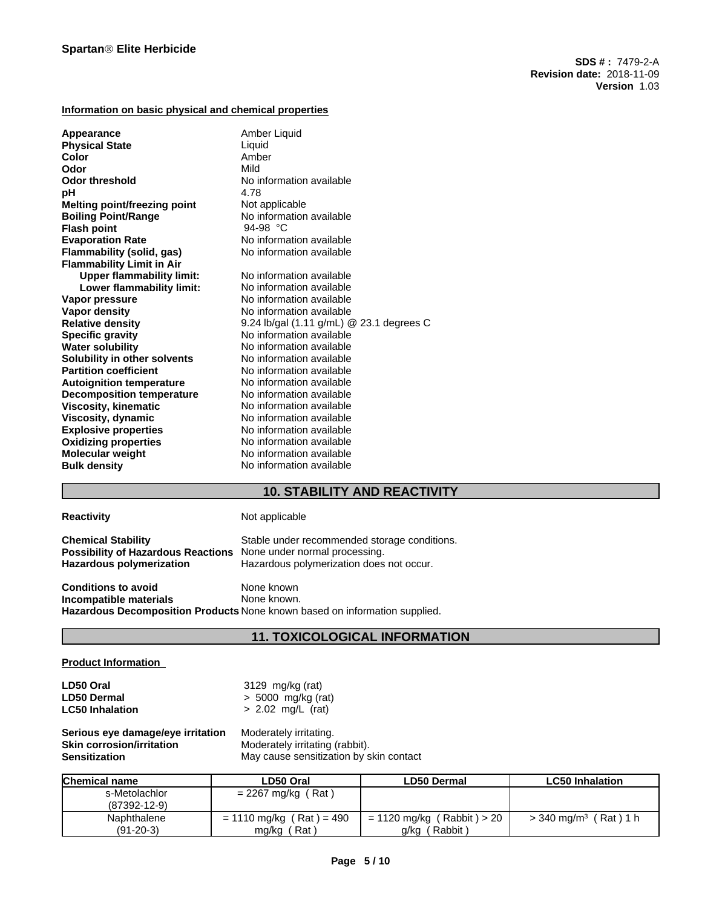## **Information on basic physical and chemical properties**

| Appearance<br><b>Physical State</b> | Amber Liquid<br>Liquid                             |
|-------------------------------------|----------------------------------------------------|
| Color                               | Amber                                              |
| Odor                                | Mild                                               |
| <b>Odor threshold</b>               | No information available                           |
| рH                                  | 4.78                                               |
| Melting point/freezing point        | Not applicable                                     |
| <b>Boiling Point/Range</b>          | No information available                           |
| <b>Flash point</b>                  | 94-98 °C                                           |
| <b>Evaporation Rate</b>             | No information available                           |
| Flammability (solid, gas)           | No information available                           |
| <b>Flammability Limit in Air</b>    |                                                    |
| <b>Upper flammability limit:</b>    | No information available                           |
| Lower flammability limit:           | No information available                           |
| Vapor pressure                      | No information available                           |
| <b>Vapor density</b>                | No information available                           |
| <b>Relative density</b>             | 9.24 lb/gal $(1.11 \text{ g/mL})$ @ 23.1 degrees C |
| <b>Specific gravity</b>             | No information available                           |
| <b>Water solubility</b>             | No information available                           |
| Solubility in other solvents        | No information available                           |
| <b>Partition coefficient</b>        | No information available                           |
| <b>Autoignition temperature</b>     | No information available                           |
| <b>Decomposition temperature</b>    | No information available                           |
| <b>Viscosity, kinematic</b>         | No information available                           |
| Viscosity, dynamic                  | No information available                           |
| <b>Explosive properties</b>         | No information available                           |
| <b>Oxidizing properties</b>         | No information available                           |
| <b>Molecular weight</b>             | No information available                           |
| <b>Bulk density</b>                 | No information available                           |

# **10. STABILITY AND REACTIVITY**

## **Reactivity Not applicable**

| <b>Chemical Stability</b><br><b>Possibility of Hazardous Reactions</b> None under normal processing.<br><b>Hazardous polymerization</b> | Stable under recommended storage conditions.<br>Hazardous polymerization does not occur. |  |
|-----------------------------------------------------------------------------------------------------------------------------------------|------------------------------------------------------------------------------------------|--|
| <b>Conditions to avoid</b>                                                                                                              | None known                                                                               |  |
| Incompatible materials                                                                                                                  | None known                                                                               |  |

**Incompatible materials** None known. **Hazardous Decomposition Products** None known based on information supplied.

# **11. TOXICOLOGICAL INFORMATION**

## **Product Information**

| LD50 Oral              | 3129 mg/kg (rat)     |
|------------------------|----------------------|
| <b>LD50 Dermal</b>     | $> 5000$ mg/kg (rat) |
| <b>LC50 Inhalation</b> | $> 2.02$ mg/L (rat)  |

**Serious eye damage/eye irritation** Moderately irritating. **Skin corrosion/irritation**<br> **Sensitization**<br>
May cause sensitization by s **Sensitization** May cause sensitization by skin contact

| <b>Chemical name</b> | LD50 Oral                  | <b>LD50 Dermal</b>         | <b>LC50 Inhalation</b>                   |
|----------------------|----------------------------|----------------------------|------------------------------------------|
| s-Metolachlor        | $= 2267$ mg/kg (Rat)       |                            |                                          |
| $(87392 - 12 - 9)$   |                            |                            |                                          |
| Naphthalene          | $= 1110$ mg/kg (Rat) = 490 | = 1120 mg/kg (Rabbit) > 20 | Rat ) 1 h<br>$>$ 340 mg/m <sup>3</sup> ( |
| $(91-20-3)$          | Rat<br>mg/kg               | Rabbit<br>g/kg             |                                          |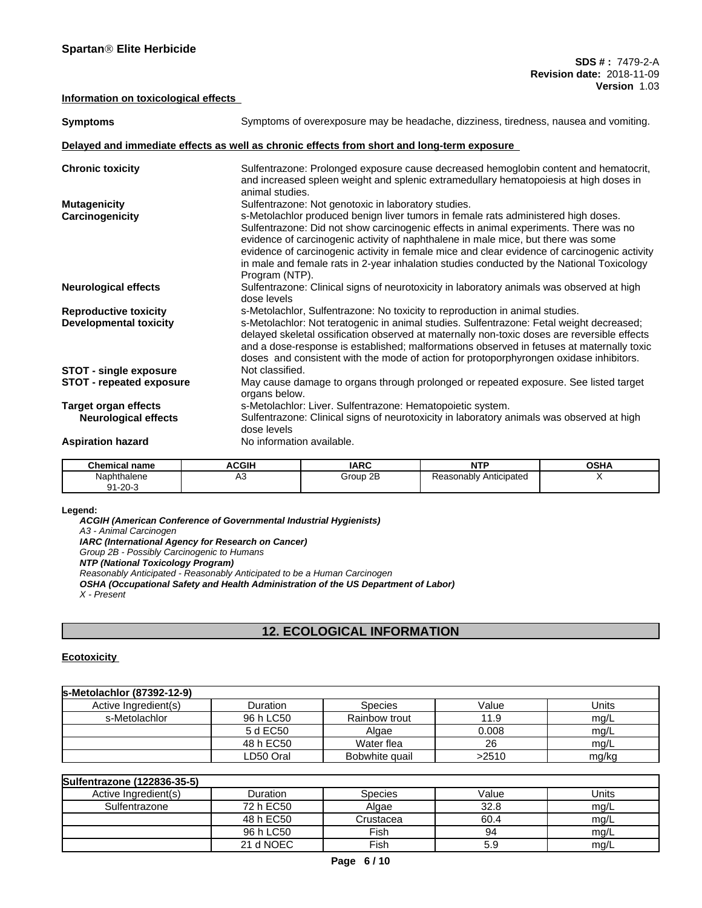## **Information on toxicological effects**

| <b>Symptoms</b>                                                  | Symptoms of overexposure may be headache, dizziness, tiredness, nausea and vomiting.                                                                                                                                                                                                                                                                                                                                                                                                                                                  |
|------------------------------------------------------------------|---------------------------------------------------------------------------------------------------------------------------------------------------------------------------------------------------------------------------------------------------------------------------------------------------------------------------------------------------------------------------------------------------------------------------------------------------------------------------------------------------------------------------------------|
|                                                                  | Delayed and immediate effects as well as chronic effects from short and long-term exposure                                                                                                                                                                                                                                                                                                                                                                                                                                            |
| <b>Chronic toxicity</b>                                          | Sulfentrazone: Prolonged exposure cause decreased hemoglobin content and hematocrit,<br>and increased spleen weight and splenic extramedullary hematopoiesis at high doses in<br>animal studies.                                                                                                                                                                                                                                                                                                                                      |
| <b>Mutagenicity</b><br>Carcinogenicity                           | Sulfentrazone: Not genotoxic in laboratory studies.<br>s-Metolachlor produced benign liver tumors in female rats administered high doses.<br>Sulfentrazone: Did not show carcinogenic effects in animal experiments. There was no<br>evidence of carcinogenic activity of naphthalene in male mice, but there was some<br>evidence of carcinogenic activity in female mice and clear evidence of carcinogenic activity<br>in male and female rats in 2-year inhalation studies conducted by the National Toxicology<br>Program (NTP). |
| <b>Neurological effects</b>                                      | Sulfentrazone: Clinical signs of neurotoxicity in laboratory animals was observed at high<br>dose levels                                                                                                                                                                                                                                                                                                                                                                                                                              |
| <b>Reproductive toxicity</b><br><b>Developmental toxicity</b>    | s-Metolachlor, Sulfentrazone: No toxicity to reproduction in animal studies.<br>s-Metolachlor: Not teratogenic in animal studies. Sulfentrazone: Fetal weight decreased;<br>delayed skeletal ossification observed at maternally non-toxic doses are reversible effects<br>and a dose-response is established; malformations observed in fetuses at maternally toxic<br>doses and consistent with the mode of action for protoporphyrongen oxidase inhibitors.                                                                        |
| <b>STOT - single exposure</b><br><b>STOT - repeated exposure</b> | Not classified.<br>May cause damage to organs through prolonged or repeated exposure. See listed target<br>organs below.                                                                                                                                                                                                                                                                                                                                                                                                              |
| <b>Target organ effects</b><br><b>Neurological effects</b>       | s-Metolachlor: Liver. Sulfentrazone: Hematopoietic system.<br>Sulfentrazone: Clinical signs of neurotoxicity in laboratory animals was observed at high<br>dose levels                                                                                                                                                                                                                                                                                                                                                                |
| <b>Aspiration hazard</b>                                         | No information available.                                                                                                                                                                                                                                                                                                                                                                                                                                                                                                             |

| Chemical name                          | <b>ACGIH</b> | <b>IARC</b> | ----<br>.                   | <b>OSHA</b> |
|----------------------------------------|--------------|-------------|-----------------------------|-------------|
| Naphthalene<br>$1-20$ - $\degree$<br>ົ | ∼<br>$\sim$  | Group 2B    | asonably Anticipated?<br>Кe |             |
| ັ                                      |              |             |                             |             |

#### **Legend:**

*ACGIH (American Conference of Governmental Industrial Hygienists) A3 - Animal Carcinogen IARC (International Agency for Research on Cancer) Group 2B - Possibly Carcinogenic to Humans NTP (National Toxicology Program) Reasonably Anticipated - Reasonably Anticipated to be a Human Carcinogen OSHA (Occupational Safety and Health Administration of the US Department of Labor) X - Present*

# **12. ECOLOGICAL INFORMATION**

## **Ecotoxicity**

| ls-Metolachlor (87392-12-9) |                 |                |       |       |
|-----------------------------|-----------------|----------------|-------|-------|
| Active Ingredient(s)        | <b>Duration</b> | Species        | Value | Units |
| s-Metolachlor               | 96 h LC50       | Rainbow trout  | 11.9  | mg/L  |
|                             | 5 d EC50        | Algae          | 0.008 | mg/L  |
|                             | 48 h EC50       | Water flea     | 26    | mg/L  |
|                             | LD50 Oral       | Bobwhite quail | >2510 | mg/kg |

| Sulfentrazone (122836-35-5) |           |                |       |       |
|-----------------------------|-----------|----------------|-------|-------|
| Active Ingredient(s)        | Duration  | <b>Species</b> | Value | Units |
| Sulfentrazone               | 72 h EC50 | Algae          | 32.8  | mg/L  |
|                             | 48 h EC50 | Crustacea      | 60.4  | mg/L  |
|                             | 96 h LC50 | Fish           | 94    | mg/L  |
|                             | 21 d NOEC | Fish           | 5.9   | mg/L  |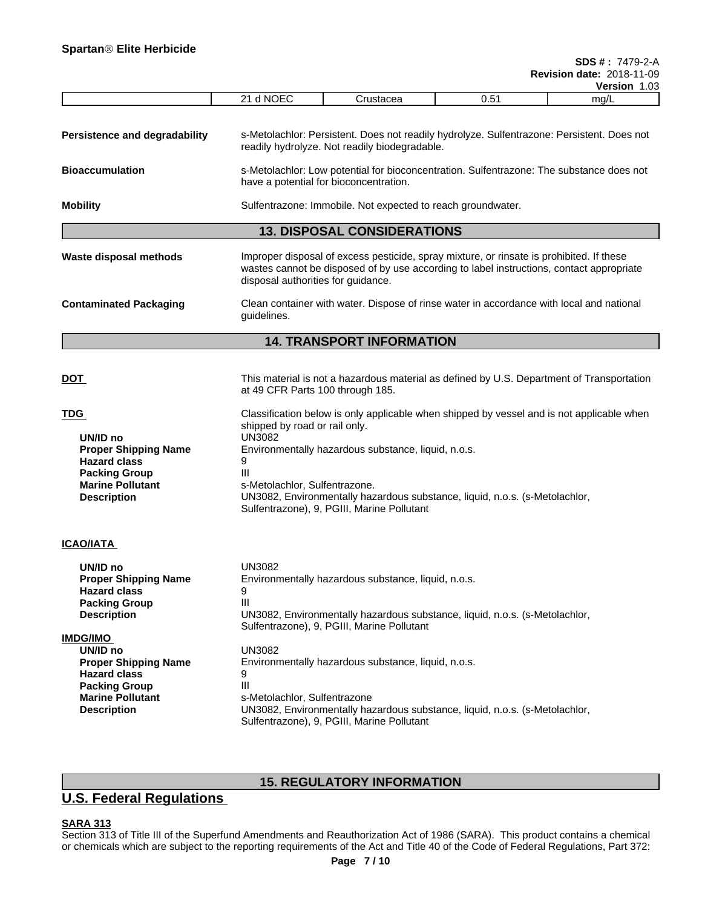| s-Metolachlor: Persistent. Does not readily hydrolyze. Sulfentrazone: Persistent. Does not<br>readily hydrolyze. Not readily biodegradable.<br>s-Metolachlor: Low potential for bioconcentration. Sulfentrazone: The substance does not<br>have a potential for bioconcentration.<br>Sulfentrazone: Immobile. Not expected to reach groundwater.<br><b>13. DISPOSAL CONSIDERATIONS</b><br>Improper disposal of excess pesticide, spray mixture, or rinsate is prohibited. If these<br>wastes cannot be disposed of by use according to label instructions, contact appropriate<br>disposal authorities for guidance.<br>Clean container with water. Dispose of rinse water in accordance with local and national<br>guidelines.<br><b>14. TRANSPORT INFORMATION</b><br>at 49 CFR Parts 100 through 185.<br>shipped by road or rail only.<br>UN/ID no<br>UN3082<br><b>Proper Shipping Name</b><br>Environmentally hazardous substance, liquid, n.o.s.<br>9<br><b>Hazard class</b><br>Ш<br><b>Packing Group</b><br><b>Marine Pollutant</b><br>s-Metolachlor, Sulfentrazone.<br>UN3082, Environmentally hazardous substance, liquid, n.o.s. (s-Metolachlor,<br><b>Description</b><br>Sulfentrazone), 9, PGIII, Marine Pollutant<br>UN/ID no<br><b>UN3082</b><br>Environmentally hazardous substance, liquid, n.o.s.<br><b>Proper Shipping Name</b><br><b>Hazard class</b><br>9<br>Ш<br><b>Packing Group</b><br>UN3082, Environmentally hazardous substance, liquid, n.o.s. (s-Metolachlor,<br><b>Description</b><br>Sulfentrazone), 9, PGIII, Marine Pollutant<br>UN/ID no<br>UN3082<br>Environmentally hazardous substance, liquid, n.o.s.<br><b>Proper Shipping Name</b><br><b>Hazard class</b><br>9<br>Ш<br><b>Packing Group</b><br><b>Marine Pollutant</b><br>s-Metolachlor, Sulfentrazone<br>UN3082, Environmentally hazardous substance, liquid, n.o.s. (s-Metolachlor,<br><b>Description</b><br>Sulfentrazone), 9, PGIII, Marine Pollutant |                               | 21 d NOEC                                                                                 | Crustacea | 0.51 | mg/L |  |  |  |  |  |
|------------------------------------------------------------------------------------------------------------------------------------------------------------------------------------------------------------------------------------------------------------------------------------------------------------------------------------------------------------------------------------------------------------------------------------------------------------------------------------------------------------------------------------------------------------------------------------------------------------------------------------------------------------------------------------------------------------------------------------------------------------------------------------------------------------------------------------------------------------------------------------------------------------------------------------------------------------------------------------------------------------------------------------------------------------------------------------------------------------------------------------------------------------------------------------------------------------------------------------------------------------------------------------------------------------------------------------------------------------------------------------------------------------------------------------------------------------------------------------------------------------------------------------------------------------------------------------------------------------------------------------------------------------------------------------------------------------------------------------------------------------------------------------------------------------------------------------------------------------------------------------------------------------------------------------------------|-------------------------------|-------------------------------------------------------------------------------------------|-----------|------|------|--|--|--|--|--|
| <b>Bioaccumulation</b><br>Mobility<br>Waste disposal methods<br><b>Contaminated Packaging</b><br>DOT<br>TDG<br><u>ICAO/IATA_</u><br><u>IMDG/IMO</u>                                                                                                                                                                                                                                                                                                                                                                                                                                                                                                                                                                                                                                                                                                                                                                                                                                                                                                                                                                                                                                                                                                                                                                                                                                                                                                                                                                                                                                                                                                                                                                                                                                                                                                                                                                                            | Persistence and degradability |                                                                                           |           |      |      |  |  |  |  |  |
|                                                                                                                                                                                                                                                                                                                                                                                                                                                                                                                                                                                                                                                                                                                                                                                                                                                                                                                                                                                                                                                                                                                                                                                                                                                                                                                                                                                                                                                                                                                                                                                                                                                                                                                                                                                                                                                                                                                                                |                               |                                                                                           |           |      |      |  |  |  |  |  |
|                                                                                                                                                                                                                                                                                                                                                                                                                                                                                                                                                                                                                                                                                                                                                                                                                                                                                                                                                                                                                                                                                                                                                                                                                                                                                                                                                                                                                                                                                                                                                                                                                                                                                                                                                                                                                                                                                                                                                |                               |                                                                                           |           |      |      |  |  |  |  |  |
|                                                                                                                                                                                                                                                                                                                                                                                                                                                                                                                                                                                                                                                                                                                                                                                                                                                                                                                                                                                                                                                                                                                                                                                                                                                                                                                                                                                                                                                                                                                                                                                                                                                                                                                                                                                                                                                                                                                                                |                               |                                                                                           |           |      |      |  |  |  |  |  |
|                                                                                                                                                                                                                                                                                                                                                                                                                                                                                                                                                                                                                                                                                                                                                                                                                                                                                                                                                                                                                                                                                                                                                                                                                                                                                                                                                                                                                                                                                                                                                                                                                                                                                                                                                                                                                                                                                                                                                |                               |                                                                                           |           |      |      |  |  |  |  |  |
|                                                                                                                                                                                                                                                                                                                                                                                                                                                                                                                                                                                                                                                                                                                                                                                                                                                                                                                                                                                                                                                                                                                                                                                                                                                                                                                                                                                                                                                                                                                                                                                                                                                                                                                                                                                                                                                                                                                                                |                               |                                                                                           |           |      |      |  |  |  |  |  |
|                                                                                                                                                                                                                                                                                                                                                                                                                                                                                                                                                                                                                                                                                                                                                                                                                                                                                                                                                                                                                                                                                                                                                                                                                                                                                                                                                                                                                                                                                                                                                                                                                                                                                                                                                                                                                                                                                                                                                |                               |                                                                                           |           |      |      |  |  |  |  |  |
|                                                                                                                                                                                                                                                                                                                                                                                                                                                                                                                                                                                                                                                                                                                                                                                                                                                                                                                                                                                                                                                                                                                                                                                                                                                                                                                                                                                                                                                                                                                                                                                                                                                                                                                                                                                                                                                                                                                                                |                               |                                                                                           |           |      |      |  |  |  |  |  |
|                                                                                                                                                                                                                                                                                                                                                                                                                                                                                                                                                                                                                                                                                                                                                                                                                                                                                                                                                                                                                                                                                                                                                                                                                                                                                                                                                                                                                                                                                                                                                                                                                                                                                                                                                                                                                                                                                                                                                |                               | This material is not a hazardous material as defined by U.S. Department of Transportation |           |      |      |  |  |  |  |  |
|                                                                                                                                                                                                                                                                                                                                                                                                                                                                                                                                                                                                                                                                                                                                                                                                                                                                                                                                                                                                                                                                                                                                                                                                                                                                                                                                                                                                                                                                                                                                                                                                                                                                                                                                                                                                                                                                                                                                                |                               | Classification below is only applicable when shipped by vessel and is not applicable when |           |      |      |  |  |  |  |  |
|                                                                                                                                                                                                                                                                                                                                                                                                                                                                                                                                                                                                                                                                                                                                                                                                                                                                                                                                                                                                                                                                                                                                                                                                                                                                                                                                                                                                                                                                                                                                                                                                                                                                                                                                                                                                                                                                                                                                                |                               |                                                                                           |           |      |      |  |  |  |  |  |
|                                                                                                                                                                                                                                                                                                                                                                                                                                                                                                                                                                                                                                                                                                                                                                                                                                                                                                                                                                                                                                                                                                                                                                                                                                                                                                                                                                                                                                                                                                                                                                                                                                                                                                                                                                                                                                                                                                                                                |                               |                                                                                           |           |      |      |  |  |  |  |  |
|                                                                                                                                                                                                                                                                                                                                                                                                                                                                                                                                                                                                                                                                                                                                                                                                                                                                                                                                                                                                                                                                                                                                                                                                                                                                                                                                                                                                                                                                                                                                                                                                                                                                                                                                                                                                                                                                                                                                                |                               |                                                                                           |           |      |      |  |  |  |  |  |

# **15. REGULATORY INFORMATION**

# **U.S. Federal Regulations**

### **SARA 313**

Section 313 of Title III of the Superfund Amendments and Reauthorization Act of 1986 (SARA). This product contains a chemical or chemicals which are subject to the reporting requirements of the Act and Title 40 of the Code of Federal Regulations, Part 372: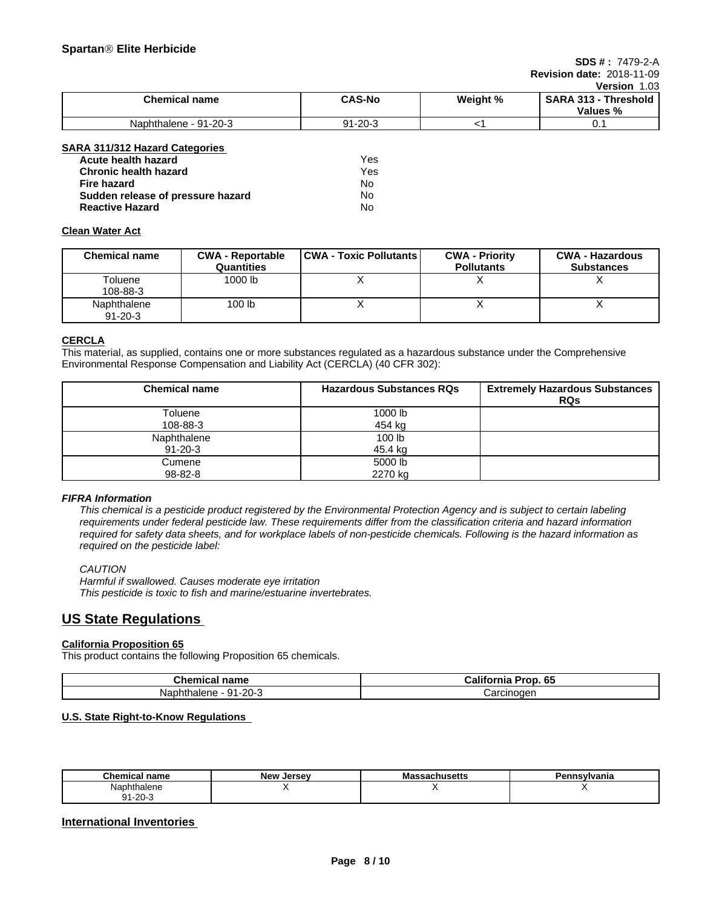#### **SDS # :** 7479-2-A **Revision date:** 2018-11-09

# **Version** 1.03

|                       |               |          | V                                                    |
|-----------------------|---------------|----------|------------------------------------------------------|
| Chemical name         | <b>CAS-No</b> | Weight % | <b>SARA</b><br>. 313<br><b>Threshold</b><br>Values % |
| Naphthalene - 91-20-3 | $91 - 20 - 3$ |          | ັບ.                                                  |

### **SARA 311/312 Hazard Categories**

| Acute health hazard               | Yes |
|-----------------------------------|-----|
| <b>Chronic health hazard</b>      | Yes |
| Fire hazard                       | N٥  |
| Sudden release of pressure hazard | No  |
| <b>Reactive Hazard</b>            | No  |

## **Clean Water Act**

| <b>Chemical name</b>         | <b>CWA - Reportable</b><br>Quantities | <b>CWA - Toxic Pollutants  </b> | <b>CWA - Priority</b><br><b>Pollutants</b> | <b>CWA - Hazardous</b><br><b>Substances</b> |
|------------------------------|---------------------------------------|---------------------------------|--------------------------------------------|---------------------------------------------|
| Toluene<br>108-88-3          | 1000 lb                               | ↗                               |                                            |                                             |
| Naphthalene<br>$91 - 20 - 3$ | 100 <sub>lb</sub>                     |                                 |                                            |                                             |

### **CERCLA**

This material, as supplied, contains one or more substances regulated as a hazardous substance under the Comprehensive Environmental Response Compensation and Liability Act (CERCLA) (40 CFR 302):

| <b>Chemical name</b> | <b>Hazardous Substances RQs</b> | <b>Extremely Hazardous Substances</b><br><b>RQs</b> |
|----------------------|---------------------------------|-----------------------------------------------------|
| Toluene              | 1000 lb                         |                                                     |
| 108-88-3             | 454 kg                          |                                                     |
| Naphthalene          | 100 lb                          |                                                     |
| $91 - 20 - 3$        | 45.4 kg                         |                                                     |
| Cumene               | 5000 lb                         |                                                     |
| 98-82-8              | 2270 kg                         |                                                     |

### *FIFRA Information*

This chemical is a pesticide product registered by the Environmental Protection Agency and is subject to certain labeling requirements under federal pesticide law. These requirements differ from the classification criteria and hazard information required for safety data sheets, and for workplace labels of non-pesticide chemicals. Following is the hazard information as *required on the pesticide label:*

### *CAUTION*

*Harmful if swallowed. Causes moderate eye irritation This pesticide is toxic to fish and marine/estuarine invertebrates.*

# **US State Regulations**

### **California Proposition 65**

This product contains the following Proposition 65 chemicals.

| Chemical<br>name                                    | ,,,,,,,,,,<br>$\mathbf{r}$<br>Pron<br>-65<br>ОІ<br>Шc |
|-----------------------------------------------------|-------------------------------------------------------|
| 20-∂ر<br><u>аи</u><br><b>Napi</b><br>۱ne.<br>nnaie. | Carcinoger<br><b>Udium</b>                            |

## **U.S. State Right-to-Know Regulations**

| --<br><b>Chemical name</b>  | Now.<br>Jersev<br>w | IVIC<br>ออαบแนอចแอ | `nsylvania<br>ъ. |
|-----------------------------|---------------------|--------------------|------------------|
| Naphı<br>hthalene           |                     |                    |                  |
| $\sim$<br>O 1<br>1-20-<br>ີ |                     |                    |                  |

## **International Inventories**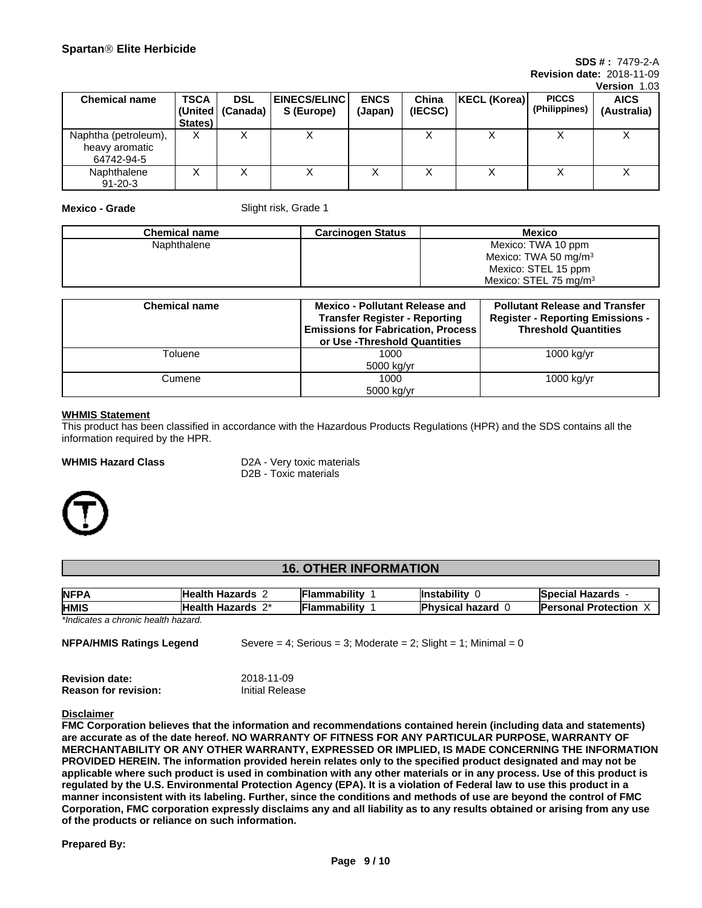#### **SDS # :** 7479-2-A **Revision date:** 2018-11-09

**Version** 1.03

|                                                      |             |                    |                       |             |         |              |               | 1901-1919   |
|------------------------------------------------------|-------------|--------------------|-----------------------|-------------|---------|--------------|---------------|-------------|
| <b>Chemical name</b>                                 | <b>TSCA</b> | <b>DSL</b>         | <b>EINECS/ELINC  </b> | <b>ENCS</b> | China   | KECL (Korea) | <b>PICCS</b>  | <b>AICS</b> |
|                                                      |             | (United   (Canada) | S (Europe)            | (Japan)     | (IECSC) |              | (Philippines) | (Australia) |
|                                                      | States)     |                    |                       |             |         |              |               |             |
| Naphtha (petroleum),<br>heavy aromatic<br>64742-94-5 | X           |                    | ↗                     |             |         |              |               |             |
| Naphthalene<br>$91 - 20 - 3$                         | ∧           |                    |                       | ↗           |         |              | ↗             | ↗           |

**Mexico - Grade** Slight risk, Grade 1

| <b>Chemical name</b> | <b>Carcinogen Status</b> | Mexico                            |
|----------------------|--------------------------|-----------------------------------|
| Naphthalene          |                          | Mexico: TWA 10 ppm                |
|                      |                          | Mexico: TWA 50 mg/m <sup>3</sup>  |
|                      |                          | Mexico: STEL 15 ppm               |
|                      |                          | Mexico: STEL 75 mg/m <sup>3</sup> |

| <b>Chemical name</b> | <b>Mexico - Pollutant Release and</b><br><b>Transfer Register - Reporting</b><br><b>Emissions for Fabrication, Process</b><br>or Use -Threshold Quantities | <b>Pollutant Release and Transfer</b><br><b>Register - Reporting Emissions -</b><br><b>Threshold Quantities</b> |
|----------------------|------------------------------------------------------------------------------------------------------------------------------------------------------------|-----------------------------------------------------------------------------------------------------------------|
| Toluene              | 1000                                                                                                                                                       | 1000 kg/yr                                                                                                      |
|                      | 5000 kg/yr                                                                                                                                                 |                                                                                                                 |
| Cumene               | 1000                                                                                                                                                       | 1000 kg/yr                                                                                                      |
|                      | 5000 kg/yr                                                                                                                                                 |                                                                                                                 |

#### **WHMIS Statement**

This product has been classified in accordance with the Hazardous Products Regulations (HPR) and the SDS contains all the information required by the HPR.

**WHMIS Hazard Class** D2A - Very toxic materials D2B - Toxic materials



## **16. OTHER INFORMATION**

| <b>NFPA</b> | .<br>----<br>'Healt.<br>--                           | .<br>ำmability | tabilit<br>llnst      | ,nrde<br>--<br><b>……</b><br><b>SDECIAL</b><br>. nazarus i |
|-------------|------------------------------------------------------|----------------|-----------------------|-----------------------------------------------------------|
| <b>HMIS</b> | <b>Health</b><br>$\sim$<br>-----<br>–∽<br>zaros<br>ы | .<br>nability  | .<br>.<br>ж<br>La I l | rsonal Protection                                         |

*\*Indicates a chronic health hazard.*

| NFPA/HMIS Ratings Legend | Severe = 4; Serious = 3; Moderate = 2; Slight = 1; Minimal = 0 |  |
|--------------------------|----------------------------------------------------------------|--|
|--------------------------|----------------------------------------------------------------|--|

| <b>Revision date:</b>       | 2018-11-09      |
|-----------------------------|-----------------|
| <b>Reason for revision:</b> | Initial Release |

#### **Disclaimer**

**FMC Corporation believes that the information and recommendations contained herein (including data and statements) are accurate as of the date hereof. NO WARRANTY OF FITNESS FOR ANY PARTICULAR PURPOSE, WARRANTY OF MERCHANTABILITY OR ANY OTHER WARRANTY, EXPRESSED OR IMPLIED, IS MADE CONCERNING THE INFORMATION** PROVIDED HEREIN. The information provided herein relates only to the specified product designated and may not be applicable where such product is used in combination with any other materials or in any process. Use of this product is regulated by the U.S. Environmental Protection Agency (EPA). It is a violation of Federal law to use this product in a manner inconsistent with its labeling. Further, since the conditions and methods of use are beyond the control of FMC Corporation, FMC corporation expressly disclaims any and all liability as to any results obtained or arising from any use **of the products or reliance on such information.**